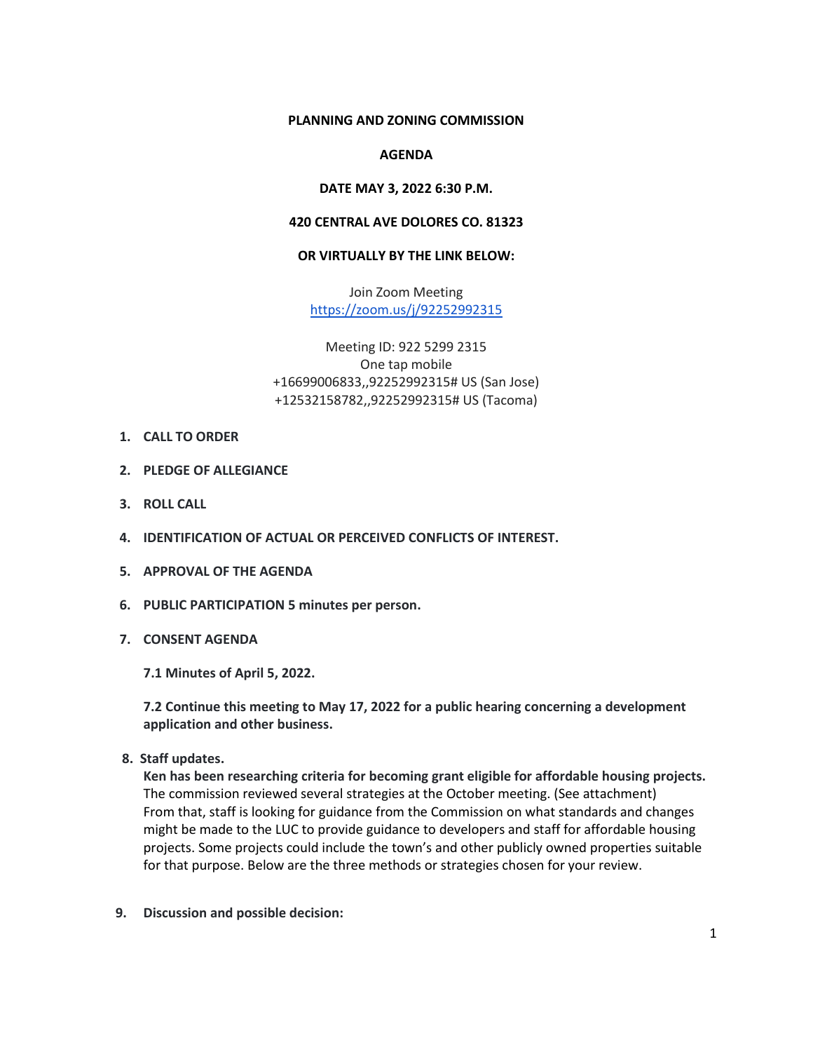## **PLANNING AND ZONING COMMISSION**

#### **AGENDA**

## **DATE MAY 3, 2022 6:30 P.M.**

# **420 CENTRAL AVE DOLORES CO. 81323**

#### **OR VIRTUALLY BY THE LINK BELOW:**

Join Zoom Meeting [https://zoom.us/j/92252992315](https://www.google.com/url?q=https%3A%2F%2Fzoom.us%2Fj%2F92252992315&sa=D&ust=1631647514848000&usg=AOvVaw1QaCNaBTc1vHMfWRHOKKMU)

Meeting ID: 922 5299 2315 One tap mobile +16699006833,,92252992315# US (San Jose) +12532158782,,92252992315# US (Tacoma)

- **1. CALL TO ORDER**
- **2. PLEDGE OF ALLEGIANCE**
- **3. ROLL CALL**
- **4. IDENTIFICATION OF ACTUAL OR PERCEIVED CONFLICTS OF INTEREST.**
- **5. APPROVAL OF THE AGENDA**
- **6. PUBLIC PARTICIPATION 5 minutes per person.**
- **7. CONSENT AGENDA**

**7.1 Minutes of April 5, 2022.**

**7.2 Continue this meeting to May 17, 2022 for a public hearing concerning a development application and other business.**

 **8. Staff updates.**

**Ken has been researching criteria for becoming grant eligible for affordable housing projects.**  The commission reviewed several strategies at the October meeting. (See attachment) From that, staff is looking for guidance from the Commission on what standards and changes might be made to the LUC to provide guidance to developers and staff for affordable housing projects. Some projects could include the town's and other publicly owned properties suitable for that purpose. Below are the three methods or strategies chosen for your review.

 **9. Discussion and possible decision:**